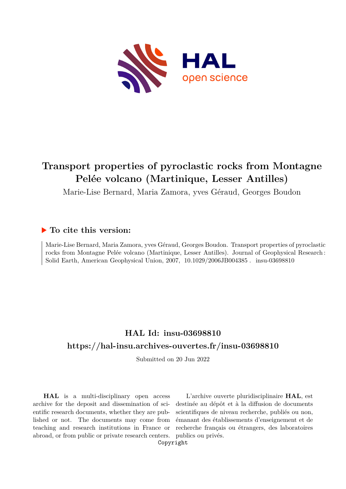

# **Transport properties of pyroclastic rocks from Montagne Pelée volcano (Martinique, Lesser Antilles)**

Marie-Lise Bernard, Maria Zamora, yves Géraud, Georges Boudon

# **To cite this version:**

Marie-Lise Bernard, Maria Zamora, yves Géraud, Georges Boudon. Transport properties of pyroclastic rocks from Montagne Pelée volcano (Martinique, Lesser Antilles). Journal of Geophysical Research : Solid Earth, American Geophysical Union, 2007, 10.1029/2006JB004385. insu-03698810

# **HAL Id: insu-03698810 <https://hal-insu.archives-ouvertes.fr/insu-03698810>**

Submitted on 20 Jun 2022

**HAL** is a multi-disciplinary open access archive for the deposit and dissemination of scientific research documents, whether they are published or not. The documents may come from teaching and research institutions in France or abroad, or from public or private research centers.

L'archive ouverte pluridisciplinaire **HAL**, est destinée au dépôt et à la diffusion de documents scientifiques de niveau recherche, publiés ou non, émanant des établissements d'enseignement et de recherche français ou étrangers, des laboratoires publics ou privés.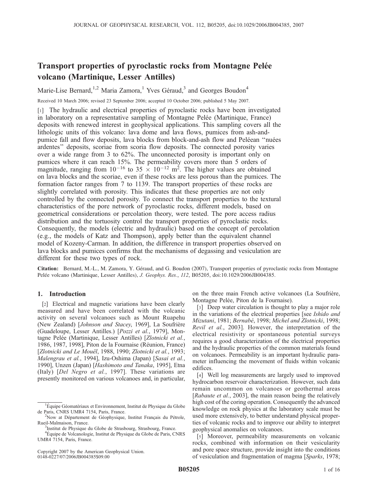# Transport properties of pyroclastic rocks from Montagne Pelée volcano (Martinique, Lesser Antilles)

Marie-Lise Bernard,<sup>1,2</sup> Maria Zamora,<sup>1</sup> Yves Géraud,<sup>3</sup> and Georges Boudon<sup>4</sup>

Received 10 March 2006; revised 23 September 2006; accepted 10 October 2006; published 5 May 2007.

[1] The hydraulic and electrical properties of pyroclastic rocks have been investigated in laboratory on a representative sampling of Montagne Pelée (Martinique, France) deposits with renewed interest in geophysical applications. This sampling covers all the lithologic units of this volcano: lava dome and lava flows, pumices from ash-andpumice fall and flow deposits, lava blocks from block-and-ash flow and Peléean "nuées" ardentes'' deposits, scoriae from scoria flow deposits. The connected porosity varies over a wide range from 3 to 62%. The unconnected porosity is important only on pumices where it can reach 15%. The permeability covers more than 5 orders of magnitude, ranging from  $10^{-16}$  to  $35 \times 10^{-12}$  m<sup>2</sup>. The higher values are obtained on lava blocks and the scoriae, even if these rocks are less porous than the pumices. The formation factor ranges from 7 to 1139. The transport properties of these rocks are slightly correlated with porosity. This indicates that these properties are not only controlled by the connected porosity. To connect the transport properties to the textural characteristics of the pore network of pyroclastic rocks, different models, based on geometrical considerations or percolation theory, were tested. The pore access radius distribution and the tortuosity control the transport properties of pyroclastic rocks. Consequently, the models (electric and hydraulic) based on the concept of percolation (e.g., the models of Katz and Thompson), apply better than the equivalent channel model of Kozeny-Carman. In addition, the difference in transport properties observed on lava blocks and pumices confirms that the mechanisms of degassing and vesiculation are different for these two types of rock.

Citation: Bernard, M.-L., M. Zamora, Y. Géraud, and G. Boudon (2007), Transport properties of pyroclastic rocks from Montagne Pelée volcano (Martinique, Lesser Antilles), J. Geophys. Res., 112, B05205, doi:10.1029/2006JB004385.

# 1. Introduction

[2] Electrical and magnetic variations have been clearly measured and have been correlated with the volcanic activity on several volcanoes such as Mount Ruapehu (New Zealand) [Johnson and Stacey, 1969], La Soufrière (Guadeloupe, Lesser Antilles.) [Pozzi et al., 1979], Montagne Pelée (Martinique, Lesser Antilles) [Zlotnicki et al., 1986, 1987, 1998], Piton de la Fournaise (Réunion, France) [Zlotnicki and Le Mouël, 1988, 1990; Zlotnicki et al., 1993; Malengrau et al., 1994], Izu-Oshima (Japan) [Sasai et al., 1990], Unzen (Japan) [Hashimoto and Tanaka, 1995], Etna (Italy) [Del Negro et al., 1997]. These variations are presently monitored on various volcanoes and, in particular, on the three main French active volcanoes (La Soufrière, Montagne Pelée, Piton de la Fournaise).

[3] Deep water circulation is thought to play a major role in the variations of the electrical properties [see Ishido and Mizutani, 1981; Bernabé, 1998; Michel and Zlotnicki, 1998; Revil et al., 2003]. However, the interpretation of the electrical resistivity or spontaneous potential surveys requires a good characterization of the electrical properties and the hydraulic properties of the common materials found on volcanoes. Permeability is an important hydraulic parameter influencing the movement of fluids within volcanic edifices.

[4] Well log measurements are largely used to improved hydrocarbon reservoir characterization. However, such data remain uncommon on volcanoes or geothermal areas [Rabaute et al., 2003], the main reason being the relatively high cost of the coring operation. Consequently the advanced knowledge on rock physics at the laboratory scale must be used more extensively, to better understand physical properties of volcanic rocks and to improve our ability to interpret geophysical anomalies on volcanoes.

[5] Moreover, permeability measurements on volcanic rocks, combined with information on their vesicularity and pore space structure, provide insight into the conditions of vesiculation and fragmentation of magma [Sparks, 1978;

<sup>&</sup>lt;sup>1</sup>Équipe Géomatériaux et Environnement, Institut de Physique du Globe de Paris, CNRS UMR4 7154, Paris, France.

<sup>&</sup>lt;sup>2</sup>Now at Département de Géophysique, Institut Français du Pétrole, Rueil-Malmaison, France. <sup>3</sup>

<sup>&</sup>lt;sup>3</sup>Institut de Physique du Globe de Strasbourg, Strasbourg, France.

<sup>&</sup>lt;sup>4</sup>Équipe de Volcanologie, Institut de Physique du Globe de Paris, CNRS UMR4 7154, Paris, France.

Copyright 2007 by the American Geophysical Union. 0148-0227/07/2006JB004385\$09.00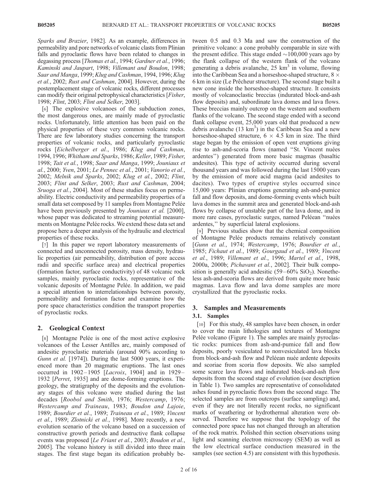Sparks and Brazier, 1982]. As an example, differences in permeability and pore networks of volcanic clasts from Plinian falls and pyroclastic flows have been related to changes in degassing process [Thomas et al., 1994; Gardner et al., 1996; Kaminski and Jaupart, 1998; Villemant and Boudon, 1998; Saar and Manga, 1999; Klug and Cashman, 1994, 1996; Klug et al., 2002; Rust and Cashman, 2004]. However, during the postemplacement stage of volcanic rocks, different processes can modify their original petrophysical characteristics [Fisher, 1998; Flint, 2003; Flint and Selker, 2003].

[6] The explosive volcanoes of the subduction zones, the most dangerous ones, are mainly made of pyroclastic rocks. Unfortunately, little attention has been paid on the physical properties of these very common volcanic rocks. There are few laboratory studies concerning the transport properties of volcanic rocks, and particularly pyroclastic rocks [Eichelberger et al., 1986; Klug and Cashman, 1994, 1996; Whitham and Sparks, 1986; Keller, 1989; Fisher, 1998; Tait et al., 1998; Saar and Manga, 1999; Jouniaux et al., 2000; Yven, 2001; Le Pennec et al., 2001; Vanorio et al., 2002; Melnik and Sparks, 2002; Klug et al., 2002; Flint, 2003; Flint and Selker, 2003; Rust and Cashman, 2004; Sruoga et al., 2004]. Most of these studies focus on permeability. Electric conductivity and permeability properties of a small data set composed by 11 samples from Montagne Pelée have been previously presented by Jouniaux et al. [2000], whose paper was dedicated to streaming potential measurements on Montagne Pelée rocks. We extend these data set and propose here a deeper analysis of the hydraulic and electrical properties of these rocks.

[7] In this paper we report laboratory measurements of connected and unconnected porosity, mass density, hydraulic properties (air permeability, distribution of pore access radii and specific surface area) and electrical properties (formation factor, surface conductivity) of 48 volcanic rock samples, mainly pyroclastic rocks, representative of the volcanic deposits of Montagne Pelée. In addition, we paid a special attention to interrelationships between porosity, permeability and formation factor and examine how the pore space characteristics condition the transport properties of pyroclastic rocks.

# 2. Geological Context

[8] Montagne Pelée is one of the most active explosive volcanoes of the Lesser Antilles arc, mainly composed of andesitic pyroclastic materials (around 90% according to Gunn et al. [1974]). During the last 5000 years, it experienced more than 20 magmatic eruptions. The last ones occurred in  $1902 - 1905$  [*Lacroix*, 1904] and in 1929– 1932 [Perret, 1935] and are dome-forming eruptions. The geology, the stratigraphy of the deposits and the evolutionary stages of this volcano were studied during the last decades [Roobol and Smith, 1976; Westercamp, 1976; Westercamp and Traineau, 1983; Boudon and Lajoie, 1989; Bourdier et al., 1989; Traineau et al., 1989; Vincent et al., 1989; Zlotnicki et al., 1998]. More recently, a new evolution scenario of the volcano based on a succession of constructive growth periods and destructive flank collapse events was proposed [Le Friant et al., 2003; Boudon et al., 2005]. The volcano history is still divided into three main stages. The first stage began its edification probably between 0.5 and 0.3 Ma and saw the construction of the primitive volcano: a cone probably comparable in size with the present edifice. This stage ended  $\sim$ 100,000 years ago by the flank collapse of the western flank of the volcano generating a debris avalanche,  $25 \text{ km}^3$  in volume, flowing into the Caribbean Sea and a horseshoe-shaped structure, 8  $\times$ 6 km in size (Le Prêcheur structure). The second stage built a new cone inside the horseshoe-shaped structure. It consists mostly of volcanoclastic breccias (indurated block-and-ash flow deposits) and, subordinate lava domes and lava flows. These breccias mainly outcrop on the western and southern flanks of the volcano. The second stage ended with a second flank collapse event, 25,000 years old that produced a new debris avalanche  $(13 \text{ km}^3)$  in the Caribbean Sea and a new horseshoe-shaped structure,  $6 \times 4.5$  km in size. The third stage began by the emission of open vent eruptions giving rise to ash-and-scoria flows (named "St. Vincent nuées ardentes'') generated from more basic magmas (basaltic andesites). This type of activity occurred during several thousand years and was followed during the last 15000 years by the emission of more acid magma (acid andesites to dacites). Two types of eruptive styles occurred since 15,000 years: Plinian eruptions generating ash-and-pumice fall and flow deposits, and dome-forming events which built lava domes in the summit area and generated block-and-ash flows by collapse of unstable part of the lava dome, and in more rare cases, pyroclastic surges, named Peléean "nuées ardentes,'' by superficial lateral explosions.

[9] Previous studies show that the chemical composition of Montagne Pelée products remains relatively constant [Gunn et al., 1974; Westercamp, 1976; Bourdier et al., 1985; Fichaut et al., 1989; Gourgaud et al., 1989; Vincent et al., 1989; Villemant et al., 1996; Martel et al., 1998, 2000a, 2000b; Pichavant et al., 2002]. Their bulk composition is generally acid andesitic  $(59-60\% SiO<sub>2</sub>)$ . Nonetheless ash-and-scoria flows are derived from quite more basic magmas. Lava flow and lava dome samples are more crystallized that the pyroclastic rocks.

# 3. Samples and Measurements

# 3.1. Samples

[10] For this study, 48 samples have been chosen, in order to cover the main lithologies and textures of Montagne Pelée volcano (Figure 1). The samples are mainly pyroclastic rocks: pumices from ash-and-pumice fall and flow deposits, poorly vesiculated to nonvesiculated lava blocks from block-and-ash flow and Peléean nuée ardente deposits and scoriae from scoria flow deposits. We also sampled some scarce lava flows and indurated block-and-ash flow deposits from the second stage of evolution (see description in Table 1). Two samples are representative of consolidated ashes found in pyroclastic flows from the second stage. The selected samples are from outcrops (surface sampling) and, even if they are not literally recent rocks, no significant marks of weathering or hydrothermal alteration were observed. Therefore we suppose that the topology of the connected pore space has not changed through an alteration of the rock matrix. Polished thin section observations using light and scanning electron microscopy (SEM) as well as the low electrical surface conduction measured in the samples (see section 4.5) are consistent with this hypothesis.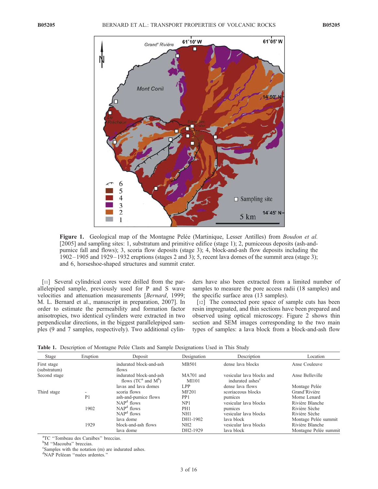

Figure 1. Geological map of the Montagne Pelée (Martinique, Lesser Antilles) from Boudon et al. [2005] and sampling sites: 1, substratum and primitive edifice (stage 1); 2, pumiceous deposits (ash-andpumice fall and flows); 3, scoria flow deposits (stage 3); 4, block-and-ash flow deposits including the 1902 –1905 and 1929 – 1932 eruptions (stages 2 and 3); 5, recent lava domes of the summit area (stage 3); and 6, horseshoe-shaped structures and summit crater.

[11] Several cylindrical cores were drilled from the parallelepiped sample, previously used for P and S wave velocities and attenuation measurements [Bernard, 1999; M. L. Bernard et al., manuscript in preparation, 2007]. In order to estimate the permeability and formation factor anisotropies, two identical cylinders were extracted in two perpendicular directions, in the biggest parallelepiped samples (9 and 7 samples, respectively). Two additional cylinders have also been extracted from a limited number of samples to measure the pore access radii (18 samples) and the specific surface area (13 samples).

[12] The connected pore space of sample cuts has been resin impregnated, and thin sections have been prepared and observed using optical microscopy. Figure 2 shows thin section and SEM images corresponding to the two main types of samples: a lava block from a block-and-ash flow

|  |  |  |  |  | <b>Table 1.</b> Description of Montagne Pelée Clasts and Sample Designations Used in This Study |
|--|--|--|--|--|-------------------------------------------------------------------------------------------------|
|--|--|--|--|--|-------------------------------------------------------------------------------------------------|

| Stage                       | Eruption       | Deposit                                             | Designation        | Description                                               | Location              |
|-----------------------------|----------------|-----------------------------------------------------|--------------------|-----------------------------------------------------------|-----------------------|
| First stage<br>(substratum) |                | indurated block-and-ash<br>flows                    | MB501              | dense lava blocks                                         | Anse Couleuve         |
| Second stage                |                | indurated block-and-ash<br>flows $(TC^a$ and $M^b)$ | MA701 and<br>MI101 | vesicular lava blocks and<br>indurated ashes <sup>c</sup> | Anse Belleville       |
|                             |                | lavas and lava domes                                | LPP                | dense lava flows                                          | Montage Pelée         |
| Third stage                 |                | scoria flows                                        | <b>MF201</b>       | scoriaceous blocks                                        | Grand'Rivière         |
|                             | P <sub>1</sub> | ash-and-pumice flows                                | PP1                | pumices                                                   | Morne Lenard          |
|                             |                | $NAPd$ flows                                        | NP1                | vesicular lava blocks                                     | Rivière Blanche       |
|                             | 1902           | $NAPd$ flows                                        | PH <sub>1</sub>    | pumices                                                   | Rivière Sèche         |
|                             |                | $NAPd$ flows                                        | NH <sub>1</sub>    | vesicular lava blocks                                     | Rivière Sèche         |
|                             |                | lava dome                                           | DH1-1902           | lava block                                                | Montage Pelée summit  |
|                             | 1929           | block-and-ash flows                                 | NH <sub>2</sub>    | vesicular lava blocks                                     | Rivière Blanche       |
|                             |                | lava dome                                           | DH2-1929           | lava block                                                | Montagne Pelée summit |

<sup>a</sup>TC "Tombeau des Caraïbes" breccias.

<sup>b</sup>M "Macouba" breccias.

c Samples with the notation (m) are indurated ashes.

<sup>d</sup>NAP Peléean "nuées ardentes."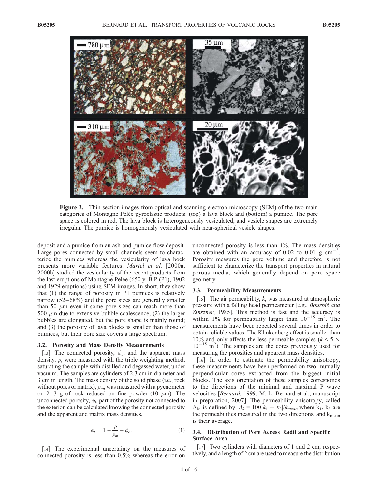

Figure 2. Thin section images from optical and scanning electron microscopy (SEM) of the two main categories of Montagne Pelée pyroclastic products: (top) a lava block and (bottom) a pumice. The pore space is colored in red. The lava block is heterogeneously vesiculated, and vesicle shapes are extremely irregular. The pumice is homogenously vesiculated with near-spherical vesicle shapes.

deposit and a pumice from an ash-and-pumice flow deposit. Large pores connected by small channels seem to characterize the pumices whereas the vesicularity of lava bock presents more variable features. Martel et al. [2000a, 2000b] studied the vesicularity of the recent products from the last eruptions of Montagne Pelée (650 y. B.P (P1), 1902 and 1929 eruptions) using SEM images. In short, they show that (1) the range of porosity in P1 pumices is relatively narrow  $(52-68%)$  and the pore sizes are generally smaller than 50  $\mu$ m even if some pore sizes can reach more than 500  $\mu$ m due to extensive bubble coalescence; (2) the larger bubbles are elongated, but the pore shape is mainly round; and (3) the porosity of lava blocks is smaller than those of pumices, but their pore size covers a large spectrum.

#### 3.2. Porosity and Mass Density Measurements

[13] The connected porosity,  $\phi_c$ , and the apparent mass density,  $\rho$ , were measured with the triple weighting method, saturating the sample with distilled and degassed water, under vacuum. The samples are cylinders of 2.3 cm in diameter and 3 cm in length. The mass density of the solid phase (i.e., rock without pores or matrix),  $\rho_m$ , was measured with a pycnometer on 2–3 g of rock reduced on fine powder (10  $\mu$ m). The unconnected porosity,  $\phi_t$ , part of the porosity not connected to the exterior, can be calculated knowing the connected porosity and the apparent and matrix mass densities,

$$
\phi_t = 1 - \frac{\rho}{\rho_m} - \phi_c. \tag{1}
$$

[14] The experimental uncertainty on the measures of connected porosity is less than 0.5% whereas the error on

unconnected porosity is less than 1%. The mass densities are obtained with an accuracy of  $0.02$  to  $0.01$  g cm<sup>-3</sup>. Porosity measures the pore volume and therefore is not sufficient to characterize the transport properties in natural porous media, which generally depend on pore space geometry.

#### 3.3. Permeability Measurements

[15] The air permeability,  $k$ , was measured at atmospheric pressure with a falling head permeameter [e.g., *Bourbié and* Zinszner, 1985]. This method is fast and the accuracy is within 1% for permeability larger than  $10^{-15}$  m<sup>2</sup>. The measurements have been repeated several times in order to obtain reliable values. The Klinkenberg effect is smaller than 10% and only affects the less permeable samples ( $k < 5 \times$  $10^{-15}$  m<sup>2</sup>). The samples are the cores previously used for measuring the porosities and apparent mass densities.

[16] In order to estimate the permeability anisotropy, these measurements have been performed on two mutually perpendicular cores extracted from the biggest initial blocks. The axis orientation of these samples corresponds to the directions of the minimal and maximal P wave velocities [Bernard, 1999; M. L. Bernard et al., manuscript in preparation, 2007]. The permeability anisotropy, called  $A_k$ , is defined by:  $A_k = 100|k_1 - k_2|/k_{mean}$  where  $k_1$ ,  $k_2$  are the permeabilities measured in the two directions, and k<sub>mean</sub> is their average.

# 3.4. Distribution of Pore Access Radii and Specific Surface Area

[17] Two cylinders with diameters of 1 and 2 cm, respectively, and a length of 2 cm are used to measure the distribution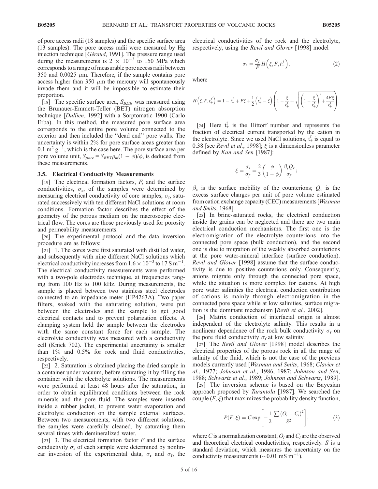of pore access radii (18 samples) and the specific surface area (13 samples). The pore access radii were measured by Hg injection technique [Géraud, 1991]. The pressure range used during the measurements is  $2 \times 10^{-3}$  to 150 MPa which corresponds to a range of measurable pore access radii between 350 and 0.0025  $\mu$ m. Therefore, if the sample contains pore access higher than 350  $\mu$ m the mercury will spontaneously invade them and it will be impossible to estimate their proportion.

[18] The specific surface area,  $S_{BET}$ , was measured using the Brunauer-Emmett-Teller (BET) nitrogen absorption technique [Dullien, 1992] with a Sorptomatic 1900 (Carlo Erba). In this method, the measured pore surface area corresponds to the entire pore volume connected to the exterior and then included the ''dead end'' pore walls. The uncertainty is within 2% for pore surface areas greater than  $0.1 \text{ m}^2 \text{ g}^{-1}$ , which is the case here. The pore surface area per pore volume unit,  $S_{pore} = S_{BET} \rho_m (1 - \phi)/\phi$ , is deduced from these measurements.

#### 3.5. Electrical Conductivity Measurements

[19] The electrical formation factors,  $F$ , and the surface conductivities,  $\sigma_s$ , of the samples were determined by measuring electrical conductivity of core samples,  $\sigma_{\rm r}$ , saturated successively with ten different NaCl solutions at room conditions. Formation factor describes the effect of the geometry of the porous medium on the macroscopic electrical flow. The cores are those previously used for porosity and permeability measurements.

[20] The experimental protocol and the data inversion procedure are as follows:

[21] 1. The cores were first saturated with distilled water, and subsequently with nine different NaCl solutions which electrical conductivity increases from  $1.6 \times 10^{-3}$  to  $17 \text{ S m}^{-1}$ . The electrical conductivity measurements were performed with a two-pole electrodes technique, at frequencies ranging from 100 Hz to 100 kHz. During measurements, the sample is placed between two stainless steel electrodes connected to an impedance meter (HP4263A). Two paper filters, soaked with the saturating solution, were put between the electrodes and the sample to get good electrical contacts and to prevent polarization effects. A clamping system held the sample between the electrodes with the same constant force for each sample. The electrolyte conductivity was measured with a conductivity cell (Knick 702). The experimental uncertainty is smaller than 1% and 0.5% for rock and fluid conductivities, respectively.

[22] 2. Saturation is obtained placing the dried sample in a container under vacuum, before saturating it by filling the container with the electrolyte solutions. The measurements were performed at least 48 hours after the saturation, in order to obtain equilibrated conditions between the rock minerals and the pore fluid. The samples were inserted inside a rubber jacket, to prevent water evaporation and electrolyte conduction on the sample external surfaces. Between two measurements, with two different solutions, the samples were carefully cleaned, by saturating them several times with demineralized water.

[23] 3. The electrical formation factor  $F$  and the surface conductivity  $\sigma_s$  of each sample were determined by nonlinear inversion of the experimental data,  $\sigma_r$  and  $\sigma_f$ , the

electrical conductivities of the rock and the electrolyte, respectively, using the Revil and Glover [1998] model

$$
\sigma_r = \frac{\sigma_f}{F} H\Big(\xi, F, t_+^f\Big),\tag{2}
$$

where

$$
H\left(\xi, F, t_+^f\right) = 1 - t_+^f + F\xi + \frac{1}{2}\left(t_+^f - \xi\right)\left(1 - \frac{\xi}{t_+^f} + \sqrt{\left(1 - \frac{\xi}{t_+^f}\right)^2 + \frac{4F\xi}{t_+^f}}\right).
$$

[24] Here  $t_+^f$  is the Hittorf number and represents the fraction of electrical current transported by the cation in the electrolyte. Since we used NaCl solutions,  $t_+^f$  is equal to 0.38 [see *Revil et al.*, 1998];  $\xi$  is a dimensionless parameter defined by Kan and Sen [1987]:

$$
\xi = \frac{\sigma_s}{\sigma_f} = \frac{2}{3} \left( \frac{\phi}{1 - \phi} \right) \frac{\beta_s Q_v}{\sigma_f};
$$

 $\beta_s$  is the surface mobility of the counterions;  $Q_v$  is the excess surface charges per unit of pore volume estimated from cation exchange capacity (CEC) measurements [Waxman and Smits, 1968].

[25] In brine-saturated rocks, the electrical conduction inside the grains can be neglected and there are two main electrical conduction mechanisms. The first one is the electromigration of the electrolyte counterions into the connected pore space (bulk conduction), and the second one is due to migration of the weakly absorbed counterions at the pore water-mineral interface (surface conduction). Revil and Glover [1998] assume that the surface conductivity is due to positive counterions only. Consequently, anions migrate only through the connected pore space, while the situation is more complex for cations. At high pore water salinities the electrical conduction contribution of cations is mainly through electromigration in the connected pore space while at low salinities, surface migration is the dominant mechanism [Revil et al., 2002].

[26] Matrix conduction of interfacial origin is almost independent of the electrolyte salinity. This results in a nonlinear dependence of the rock bulk conductivity  $\sigma_r$  on the pore fluid conductivity  $\sigma_f$  at low salinity.

[27] The *Revil and Glover* [1998] model describes the electrical properties of the porous rock in all the range of salinity of the fluid, which is not the case of the previous models currently used [Waxman and Smits, 1968; Clavier et al., 1977; Johnson et al., 1986, 1987; Johnson and Sen, 1988; Schwartz et al., 1989; Johnson and Schwartz, 1989].

[28] The inversion scheme is based on the Bayesian approach proposed by Tarantola [1987]. We searched the couple  $(F, \xi)$  that maximizes the probability density function,

$$
P(F,\xi) = C \exp \left[ -\frac{1}{2} \frac{\sum (O_i - C_i)^2}{S^2} \right],
$$
 (3)

where C is a normalization constant;  $O_i$  and  $C_i$  are the observed and theoretical electrical conductivities, respectively. S is a standard deviation, which measures the uncertainty on the conductivity measurements ( $\sim$ 0.01 mS m<sup>-1</sup>).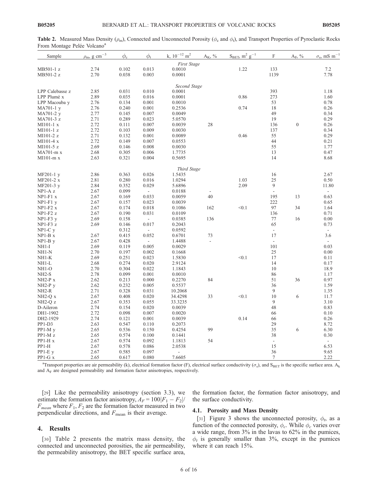**Table 2.** Measured Mass Density ( $\rho_m$ ), Connected and Unconnected Porosity ( $\phi_c$  and  $\phi_l$ ), and Transport Properties of Pyroclastic Rocks From Montage Pelée Volcano<sup>a</sup>

| Sample             | $\rho_{\rm m}$ , g cm <sup>-3</sup> | $\phi_{\rm c}$ | $\phi_{\rm t}$           | k, $10^{-12}$ m <sup>2</sup> | $A_K$ , %                | $S_{BET}$ , m <sup>2</sup> g <sup>-1</sup> | $\mathbf F$              | A <sub>F</sub> , $\%$ | $\sigma_s$ , mS m <sup>-1</sup> |
|--------------------|-------------------------------------|----------------|--------------------------|------------------------------|--------------------------|--------------------------------------------|--------------------------|-----------------------|---------------------------------|
|                    |                                     |                |                          | <b>First Stage</b>           |                          |                                            |                          |                       |                                 |
| MB501-1 z          | 2.74<br>2.70                        | 0.102          | 0.013<br>0.003           | 0.0010<br>0.0001             |                          | 1.22                                       | 133<br>1139              |                       | 7.2<br>7.78                     |
| MB501-2 z          |                                     | 0.038          |                          |                              |                          |                                            |                          |                       |                                 |
|                    |                                     |                |                          | Second Stage                 |                          |                                            |                          |                       |                                 |
| LPP Calebasse z    | 2.85                                | 0.031          | 0.010                    | 0.0001                       |                          |                                            | 393                      |                       | 1.18                            |
| LPP Plumé x        | 2.89                                | 0.035          | 0.016                    | 0.0001                       |                          | 0.86                                       | 273                      |                       | 1.60                            |
| LPP Macouba y      | 2.76                                | 0.134          | 0.001                    | 0.0010                       |                          |                                            | 53                       |                       | 0.78                            |
| MA701-1 y          | 2.76                                | 0.240          | 0.001                    | 0.2536                       |                          | 0.74                                       | 18                       |                       | 0.26                            |
| MA701-2 y          | 2.77                                | 0.145          | 0.007                    | 0.0049                       |                          |                                            | 49                       |                       | 0.34                            |
| MA701-3 z          | 2.71                                | 0.289          | 0.023                    | 5.0570                       |                          |                                            | 19                       |                       | 0.29                            |
| $MI101-1 x$        | 2.72                                | 0.111          | 0.007                    | 0.0039                       | 28                       |                                            | 136                      | $\boldsymbol{0}$      | 0.26                            |
| $MI101-1 z$        | 2.72                                | 0.103          | 0.009                    | 0.0030                       |                          |                                            | 137                      |                       | 0.34                            |
| MI101-2 z          | 2.71                                | 0.132          | 0.001                    | 0.0089                       |                          | 0.46                                       | 55                       |                       | 0.29                            |
| MI101-4 x          | 2.72                                | 0.149          | 0.007                    | 0.0553                       |                          |                                            | 44                       |                       | 0.21                            |
| $MI101-5 z$        | 2.69                                | 0.146          | 0.008                    | 0.0030                       |                          |                                            | 55                       |                       | 1.77                            |
| $MA701-m x$        | 2.68                                | 0.305          | 0.006                    | 1.7735                       |                          |                                            | 13                       |                       | 0.47                            |
| $M1101-m x$        | 2.63                                | 0.321          | 0.004                    | 0.5695                       |                          |                                            | 14                       |                       | 8.68                            |
|                    |                                     |                |                          | Third Stage                  |                          |                                            |                          |                       |                                 |
| $MF201-1$ y        | 2.86                                | 0.363          | 0.026                    | 1.5435                       |                          |                                            | 16                       |                       | 2.67                            |
| MF201-2 x          | 2.81                                | 0.280          | 0.016                    | 1.0294                       |                          | 1.03                                       | 25                       |                       | 0.50                            |
| MF201-3 y          | 2.84                                | 0.352          | 0.029                    | 5.6896                       |                          | 2.09                                       | 9                        |                       | 11.80                           |
| $NP1-A$ z          | 2.67                                | 0.099          | $\omega$                 | 0.0188                       |                          |                                            | $\overline{a}$           |                       | $\sim$                          |
| $NP1-F1 x$         | 2.67                                | 0.169          | 0.033                    | 0.0059                       | 40                       |                                            | 195                      | 13                    | 0.63                            |
| $NP1-F1$ $V$       | 2.67                                | 0.157          | 0.023                    | 0.0039                       |                          |                                            | 222                      |                       | 0.65                            |
| $NP1-F2 x$         | 2.67                                | 0.174          | 0.018                    | 0.1086                       | 162                      | < 0.1                                      | 97                       | 34                    | 1.64                            |
| $NP1-F2z$          | 2.67                                | 0.190          | 0.031                    | 0.0109                       |                          |                                            | 136                      |                       | 0.71                            |
| $NP1-F3$ y         | 2.69                                | 0.158          | $\sim$                   | 0.0385                       | 136                      |                                            | 77                       | 16                    | 0.00                            |
| $NP1-F3z$          | 2.69                                | 0.146          | 0.017                    | 0.2043                       |                          |                                            | 65                       |                       | 0.73                            |
| $NP1-Cy$           |                                     | 0.312          | $\equiv$                 | 0.0592                       |                          |                                            | $\overline{\phantom{a}}$ |                       | $\sim$                          |
| $NP1-Bx$           | 2.67                                | 0.415          | 0.052                    | 0.6701                       | 73                       |                                            | 17                       |                       | 3.6                             |
| $NP1-By$           | 2.67                                | 0.428          | $\overline{\phantom{a}}$ | 1.4488                       | $\overline{\phantom{a}}$ |                                            | $\overline{\phantom{a}}$ |                       |                                 |
| NH1-I              | 2.69                                | 0.119          | 0.005                    | 0.0029                       |                          |                                            | 101                      |                       | 0.03                            |
| NH1-N              | 2.70                                | 0.197          | 0.002                    | 0.1668                       |                          |                                            | 25                       |                       | 0.00                            |
| NH1-K              | 2.69                                | 0.251          | 0.023                    | 1.5830                       |                          | < 0.1                                      | 17                       |                       | 0.11                            |
| NH1-L              | 2.68                                | 0.274          | 0.020                    | 2.9124                       |                          |                                            | 14                       |                       | 0.17                            |
| NH1-O              | 2.70                                | 0.304          | 0.022                    | 1.1843                       |                          |                                            | 10                       |                       | 18.9                            |
| $NH2-S$            | 2.78                                | 0.099          | 0.001                    | 0.0010                       |                          |                                            | 86                       |                       | 1.17                            |
| $NH2-P x$          | 2.62                                | 0.213          | 0.000                    | 0.2270                       | 84                       |                                            | 51                       | 36                    | 0.97                            |
| $NH2-P$ y          | 2.62                                | 0.232          | 0.005                    | 0.5537                       |                          |                                            | 36                       |                       | 1.59                            |
| $NH2-R$            | 2.71                                | 0.328          | 0.031                    | 10.2068                      |                          |                                            | 9                        |                       | 1.35                            |
| $NH2-Q x$          | 2.67                                | 0.408          | 0.020                    | 34.4298                      | 33                       | < 0.1                                      | 10                       | 6                     | 11.7                            |
| $NH2-Q$ z          | 2.67                                | 0.353          | 0.055                    | 33.3235                      |                          |                                            | 9                        |                       | 3.10                            |
| D-Aileron          | 2.74                                | 0.154          | 0.020                    | 0.0039                       |                          |                                            | 48                       |                       | 0.83                            |
| DH1-1902           | 2.72                                | 0.098          | 0.007                    | 0.0020                       |                          |                                            | 66                       |                       | 0.10                            |
| DH2-1929           | 2.74                                | 0.121          | 0.001                    | 0.0039                       |                          | 0.14                                       | 66                       |                       | 0.26                            |
| PP1-D3             | 2.63                                | 0.547          | 0.110                    | 0.2073                       |                          |                                            | 29                       |                       | 8.72                            |
| PP1-My             | 2.65                                | 0.536          | 0.150                    | 0.4254                       | 99                       |                                            | 35                       | 6                     | 6.30                            |
| PP1-M <sub>z</sub> | 2.65                                | 0.574          | 0.100                    | 0.1441                       |                          |                                            | 38                       |                       | 0.30                            |
| $PP1-H x$          | 2.67                                | 0.574          | 0.092                    | 1.1813                       | 54                       |                                            | $\Box$                   |                       | $\mathcal{L}_{\mathcal{A}}$     |
| $PP1-H$            |                                     |                |                          |                              |                          |                                            | 15                       |                       |                                 |
|                    | 2.67                                | 0.578          | 0.086                    | 2.0538<br>$\omega$           |                          |                                            | 36                       |                       | 6.53<br>9.65                    |
| $PP1-Ey$           | 2.67                                | 0.585          | 0.097                    |                              |                          |                                            | $\tau$                   |                       |                                 |
| $PP1-G x$          | 2.65                                | 0.617          | 0.080                    | 7.6605                       |                          |                                            |                          |                       | 2.22                            |

<sup>a</sup> Transport properties are air permeability (k), electrical formation factor (F), electrical surface conductivity ( $\sigma_s$ ), and S<sub>BET</sub> is the specific surface area. A<sub>k</sub> and  $A_F$  are designed permeability and formation factor anisotropies, respectively.

[29] Like the permeability anisotropy (section 3.3), we estimate the formation factor anisotropy,  $A_F = 100|F_1 - F_2|$  $F_{mean}$  where  $F_1, F_2$  are the formation factor measured in two perpendicular directions, and  $F_{\text{mean}}$  is their average.

# 4. Results

[30] Table 2 presents the matrix mass density, the connected and unconnected porosities, the air permeability, the permeability anisotropy, the BET specific surface area, the formation factor, the formation factor anisotropy, and the surface conductivity.

# 4.1. Porosity and Mass Density

[31] Figure 3 shows the unconnected porosity,  $\phi_t$ , as a function of the connected porosity,  $\phi_c$ . While  $\phi_c$  varies over a wide range, from 3% in the lavas to 62% in the pumices,  $\phi_t$  is generally smaller than 3%, except in the pumices where it can reach 15%.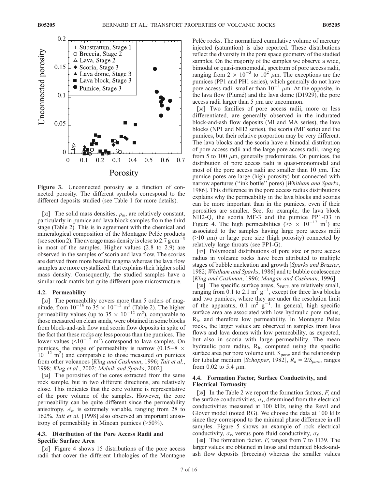

Figure 3. Unconnected porosity as a function of connected porosity. The different symbols correspond to the different deposits studied (see Table 1 for more details).

[32] The solid mass densities,  $\rho_m$ , are relatively constant, particularly in pumice and lava block samples from the third stage (Table 2). This is in agreement with the chemical and mineralogical composition of the Montagne Pelée products (see section 2). The average mass density is close to 2.7  $\mu$  cm<sup>-1</sup> in most of the samples. Higher values (2.8 to 2.9) are observed in the samples of scoria and lava flow. The scorias are derived from more basaltic magma whereas the lava flow samples are more crystallized: that explains their higher solid mass density. Consequently, the studied samples have a similar rock matrix but quite different pore microstructure.

#### 4.2. Permeability

[33] The permeability covers more than 5 orders of magnitude, from  $10^{-16}$  to  $35 \times 10^{-12}$  m<sup>2</sup> (Table 2). The higher permeability values (up to  $35 \times 10^{-12}$  m<sup>2</sup>), comparable to those measured on clean sands, were obtained in some blocks from block-and-ash flow and scoria flow deposits in spite of the fact that these rocks are less porous than the pumices. The lower values  $(<10^{-15} \text{ m}^2$ ) correspond to lava samples. Onpumices, the range of permeability is narrow  $(0.15-8 \times$  $(10^{-12} \text{ m}^2)$  and comparable to those measured on pumices from other volcanoes [Klug and Cashman, 1996; Tait et al., 1998; Klug et al., 2002; Melnik and Sparks, 2002].

[34] The porosities of the cores extracted from the same rock sample, but in two different directions, are relatively close. This indicates that the core volume is representative of the pore volume of the samples. However, the core permeability can be quite different since the permeability anisotropy,  $A_k$ , is extremely variable, ranging from 28 to 162%. Tait et al. [1998] also observed an important anisotropy of permeability in Minoan pumices (>50%).

# 4.3. Distribution of the Pore Access Radii and Specific Surface Area

[35] Figure 4 shows 15 distributions of the pore access radii that cover the different lithologies of the Montagne Pelée rocks. The normalized cumulative volume of mercury injected (saturation) is also reported. These distributions reflect the diversity in the pore space geometry of the studied samples. On the majority of the samples we observe a wide, bimodal or quasi-monomodal, spectrum of pore access radii, ranging from  $2 \times 10^{-3}$  to  $10^{2} \mu$ m. The exceptions are the pumices (PP1 and PH1 series), which generally do not have pore access radii smaller than  $10^{-1}$   $\mu$ m. At the opposite, in the lava flow (Plumé) and the lava dome (D1929), the pore access radii larger than  $5 \mu m$  are uncommon.

[36] Two families of pore access radii, more or less differentiated, are generally observed in the indurated block-and-ash flow deposits (MI and MA series), the lava blocks (NP1 and NH2 series), the scoria (MF serie) and the pumices, but their relative proportion may be very different. The lava blocks and the scoria have a bimodal distribution of pore access radii and the large pore access radii, ranging from 5 to 100  $\mu$ m, generally predominate. On pumices, the distribution of pore access radii is quasi-monomodal and most of the pore access radii are smaller than 10  $\mu$ m. The pumice pores are large (high porosity) but connected with narrow apertures ("ink bottle" pores) [Whitham and Sparks, 1986]. This difference in the pore access radius distributions explains why the permeability in the lava blocks and scorias can be more important than in the pumices, even if their porosities are smaller. See, for example, the lava block NH2-Q, the scoria MF-3 and the pumice PP1-D3 in Figure 4. The high permeabilities ( $> 5 \times 10^{-12}$  m<sup>2</sup>) are associated to the samples having large pore access radii ( $>10 \mu$ m) or large pore size (high porosity) connected by relatively large throats (see PP1-G).

[37] Polymodal distributions of pore size or pore access radius in volcanic rocks have been attributed to multiple stages of bubble nucleation and growth [Sparks and Brazier, 1982; Whitham and Sparks, 1986] and to bubble coalescence [Klug and Cashman, 1996; Mangan and Cashman, 1996].

[38] The specific surface areas,  $S<sub>BET</sub>$ , are relatively small, ranging from 0.1 to 2.1 m<sup>2</sup> g<sup>-1</sup>, except for three lava blocks and two pumices, where they are under the resolution limit of the apparatus, 0.1 m<sup>2</sup>  $g^{-1}$ . In general, high specific surface area are associated with low hydraulic pore radius,  $R<sub>h</sub>$ , and therefore low permeability. In Montagne Pelée rocks, the larger values are observed in samples from lava flows and lava domes with low permeability, as expected, but also in scoria with large permeability. The mean hydraulic pore radius,  $R<sub>h</sub>$ , computed using the specific surface area per pore volume unit,  $S<sub>pore</sub>$ , and the relationship for tubular medium [Schopper, 1982],  $R_h = 2/S_{pore}$ , ranges from 0.02 to 5.4  $\mu$ m.

### 4.4. Formation Factor, Surface Conductivity, and Electrical Tortuosity

[39] In the Table 2 we report the formation factors, F, and the surface conductivities,  $\sigma_s$ , determined from the electrical conductivities measured at 100 kHz, using the Revil and Glover model (noted RG). We choose the data at 100 kHz since they correspond to the minimal phase difference in all samples. Figure 5 shows an example of rock electrical conductivity,  $\sigma_r$ , versus pore fluid conductivity,  $\sigma_f$ .

[40] The formation factor,  $F$ , ranges from 7 to 1139. The larger values are obtained in lavas and indurated block-andash flow deposits (breccias) whereas the smaller values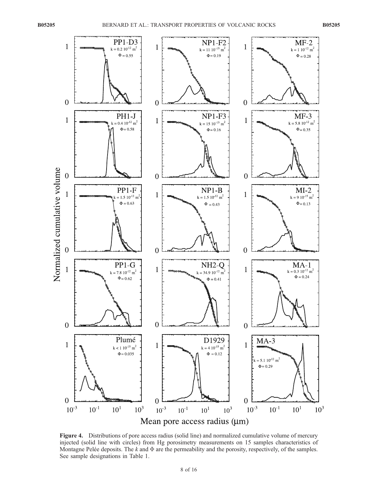

Figure 4. Distributions of pore access radius (solid line) and normalized cumulative volume of mercury injected (solid line with circles) from Hg porosimetry measurements on 15 samples characteristics of Montagne Pelée deposits. The k and  $\Phi$  are the permeability and the porosity, respectively, of the samples. See sample designations in Table 1.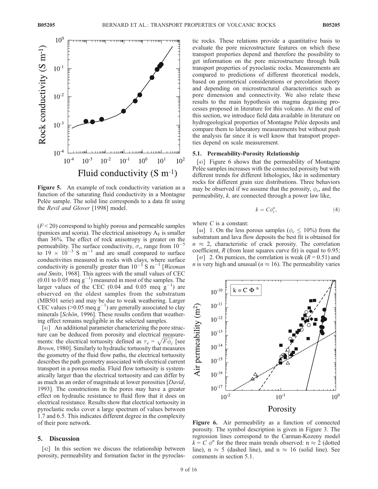

Figure 5. An example of rock conductivity variation as a function of the saturating fluid conductivity in a Montagne Pelée sample. The solid line corresponds to a data fit using the Revil and Glover [1998] model.

 $(F < 20)$  correspond to highly porous and permeable samples (pumices and scoria). The electrical anisotropy  $A_F$  is smaller than 36%. The effect of rock anisotropy is greater on the permeability. The surface conductivity,  $\sigma_s$ , range from  $10^{-5}$ to  $19 \times 10^{-3}$  S m<sup>-1</sup> and are small compared to surface conductivities measured in rocks with clays, where surface conductivity is generally greater than  $10^{-3}$  S m<sup>-1</sup> [*Waxman* and Smits, 1968]. This agrees with the small values of CEC  $(0.01 \text{ to } 0.05 \text{ meq g}^{-1})$  measured in most of the samples. The larger values of the CEC (0.04 and 0.05 meq  $g^{-1}$ ) are observed on the oldest samples from the substratum (MB501 serie) and may be due to weak weathering. Larger CEC values ( $>0.05$  meq g<sup>-1</sup>) are generally associated to clay minerals [ $Sch\ddot{o}n$ , 1996]. These results confirm that weathering effect remains negligible in the selected samples.

[41] An additional parameter characterizing the pore structure can be deduced from porosity and electrical measurethe electrical tortuosity defined as  $\tau_e = \sqrt{F\phi_c}$  [see Brown, 1980]. Similarly to hydraulic tortuosity that measures the geometry of the fluid flow paths, the electrical tortuosity describes the path geometry associated with electrical current transport in a porous media. Fluid flow tortuosity is systematically larger than the electrical tortuosity and can differ by as much as an order of magnitude at lower porosities [David, 1993]. The constrictions in the pores may have a greater effect on hydraulic resistance to fluid flow that it does on electrical resistance. Results show that electrical tortuosity in pyroclastic rocks cover a large spectrum of values between 1.7 and 6.5. This indicates different degree in the complexity of their pore network.

# 5. Discussion

[42] In this section we discuss the relationship between porosity, permeability and formation factor in the pyroclastic rocks. These relations provide a quantitative basis to evaluate the pore microstructure features on which these transport properties depend and therefore the possibility to get information on the pore microstructure through bulk transport properties of pyroclastic rocks. Measurements are compared to predictions of different theoretical models, based on geometrical considerations or percolation theory and depending on microstructural characteristics such as pore dimension and connectivity. We also relate these results to the main hypothesis on magma degassing processes proposed in literature for this volcano. At the end of this section, we introduce field data available in literature on hydrogeological properties of Montagne Pelée deposits and compare them to laboratory measurements but without push the analysis far since it is well know that transport properties depend on scale measurement.

#### 5.1. Permeability-Porosity Relationship

[43] Figure 6 shows that the permeability of Montagne Pelée samples increases with the connected porosity but with different trends for different lithologies, like in sedimentary rocks for different grain size distributions. Three behaviors may be observed if we assume that the porosity,  $\phi_c$ , and the permeability, k, are connected through a power law like,

$$
k = C\phi_c^n,\tag{4}
$$

where  $C$  is a constant:

[44] 1. On the less porous samples ( $\phi_c \le 10\%$ ) from the substratum and lava flow deposits the best fit is obtained for  $n \approx 2$ , characteristic of crack porosity. The correlation coefficient,  $R$  (from least squares curve fit) is equal to 0.95;

[45] 2. On pumices, the correlation is weak  $(R = 0.51)$  and *n* is very high and unusual ( $n \approx 16$ ). The permeability varies



Figure 6. Air permeability as a function of connected porosity. The symbol description is given in Figure 3. The regression lines correspond to the Carman-Kozeny model  $k = C \phi^n$  for the three main trends observed:  $n \approx 2$  (dotted line),  $n \approx 5$  (dashed line), and  $n \approx 16$  (solid line). See comments in section 5.1.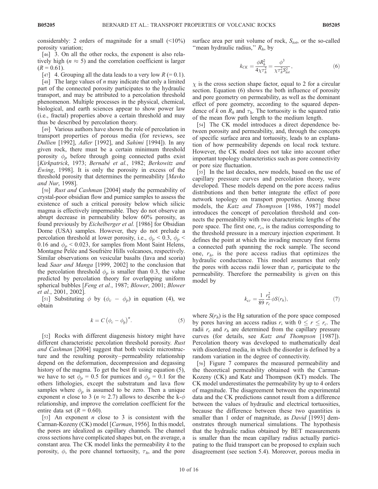considerably: 2 orders of magnitude for a small  $(\leq 10\%)$ porosity variation;

[46] 3. On all the other rocks, the exponent is also relatively high ( $n \approx 5$ ) and the correlation coefficient is larger  $(R = 0.61)$ .

[47] 4. Grouping all the data leads to a very low  $R (= 0.1)$ .

[48] The large values of *n* may indicate that only a limited part of the connected porosity participates to the hydraulic transport, and may be attributed to a percolation threshold phenomenon. Multiple processes in the physical, chemical, biological, and earth sciences appear to show power law (i.e., fractal) properties above a certain threshold and may thus be described by percolation theory.

[49] Various authors have shown the role of percolation in transport properties of porous media (for reviews, see Dullien [1992], Adler [1992], and Sahimi [1994]). In any given rock, there must be a certain minimum threshold porosity  $\phi_p$  before through going connected paths exist [Kirkpatrick, 1973; Bernabé et al., 1982; Berkowitz and Ewing, 1998]. It is only the porosity in excess of the threshold porosity that determines the permeability [Mavko and Nur, 1998].

[50] *Rust and Cashman* [2004] study the permeability of crystal-poor obsidian flow and pumice samples to assess the existence of such a critical porosity below which silicic magma is effectively impermeable. They do not observe an abrupt decrease in permeability below 60% porosity, as found previously by Eichelberger et al. [1986] for Obsidian Dome (USA) samples. However, they do not prelude a percolation threshold at lower porosity, i.e.,  $\phi_p < 0.3$ ,  $\phi_p <$ 0.16 and  $\phi_p$  < 0.023, for samples from Mont Saint Helens, Montagne Pelée and Soufrière Hills volcanoes, respectively. Similar observations on vesicular basalts (lava and scoria) lead Saar and Manga [1999, 2002] to the conclusion that the percolation threshold  $\phi_p$  is smaller than 0.3, the value predicted by percolation theory for overlapping uniform spherical bubbles [Feng et al., 1987; Blower, 2001; Blower et al., 2001, 2002].

[51] Substituting  $\phi$  by  $(\phi_c - \phi_p)$  in equation (4), we obtain

$$
k = C \left( \phi_c - \phi_p \right)^n. \tag{5}
$$

[52] Rocks with different diagenesis history might have different characteristic percolation threshold porosity. Rust and Cashman [2004] suggest that both vesicle microstructure and the resulting porosity –permeability relationship depend on the deformation, decompression and degassing history of the magma. To get the best fit using equation  $(5)$ , we have to set  $\phi_p = 0.5$  for pumices and  $\phi_p = 0.1$  for the others lithologies, except the substratum and lava flow samples where  $\phi_p$  is assumed to be zero. Then a unique exponent *n* close to 3 ( $n \approx 2.7$ ) allows to describe the k- $\phi$ relationship, and improve the correlation coefficient for the entire data set  $(R = 0.60)$ .

[53] An exponent  $n$  close to 3 is consistent with the Carman-Kozeny (CK) model [Carman, 1956]. In this model, the pores are idealized as capillary channels. The channel cross sections have complicated shapes but, on the average, a constant area. The CK model links the permeability  $k$  to the porosity,  $\phi$ , the pore channel tortuosity,  $\tau_h$ , and the pore surface area per unit volume of rock,  $S_{tot}$ , or the so-called "mean hydraulic radius,"  $R_h$ , by

$$
k_{CK} = \frac{\phi R_h^2}{4\chi \tau_h^2} = \frac{\phi^3}{\chi \tau_h^2 S_{tot}^2},
$$
\n(6)

 $\chi$  is the cross section shape factor, equal to 2 for a circular section. Equation (6) shows the both influence of porosity and pore geometry on permeability, as well as the dominant effect of pore geometry, according to the squared dependence of k on  $R_h$  and  $\tau_h$ . The tortuosity is the squared ratio of the mean flow path length to the medium length.

[54] The CK model introduces a direct dependence between porosity and permeability, and, through the concepts of specific surface area and tortuosity, leads to an explanation of how permeability depends on local rock texture. However, the CK model does not take into account other important topology characteristics such as pore connectivity or pore size fluctuation.

[55] In the last decades, new models, based on the use of capillary pressure curves and percolation theory, were developed. These models depend on the pore access radius distributions and then better integrate the effect of pore network topology on transport properties. Among these models, the Katz and Thompson [1986, 1987] model introduces the concept of percolation threshold and connects the permeability with two characteristic lengths of the pore space. The first one,  $r_c$ , is the radius corresponding to the threshold pressure in a mercury injection experiment. It defines the point at which the invading mercury first forms a connected path spanning the rock sample. The second one,  $r_h$ , is the pore access radius that optimizes the hydraulic conductance. This model assumes that only the pores with access radii lower than  $r_c$  participate to the permeability. Therefore the permeability is given on this model by

$$
k_{\kappa\tau} = \frac{1}{89} \frac{r_h^2}{r_c} \phi S(r_h),
$$
 (7)

where  $S(r_h)$  is the Hg saturation of the pore space composed by pores having an access radius r, with  $0 \le r \le r_c$ . The radii  $r_c$  and  $r_h$  are determined from the capillary pressure curves (for details, see Katz and Thompson [1987]). Percolation theory was developed to mathematically deal with disordered media, in which the disorder is defined by a random variation in the degree of connectivity.

[56] Figure 7 compares the measured permeability and the theoretical permeability obtained with the Carman-Kozeny (CK) and Katz and Thompson (KT) models. The CK model underestimates the permeability by up to 4 orders of magnitude. The disagreement between the experimental data and the CK predictions cannot result from a difference between the values of hydraulic and electrical tortuosities, because the difference between these two quantities is smaller than 1 order of magnitude, as *David* [1993] demonstrates through numerical simulations. The hypothesis that the hydraulic radius obtained by BET measurements is smaller than the mean capillary radius actually participating to the fluid transport can be proposed to explain such disagreement (see section 5.4). Moreover, porous media in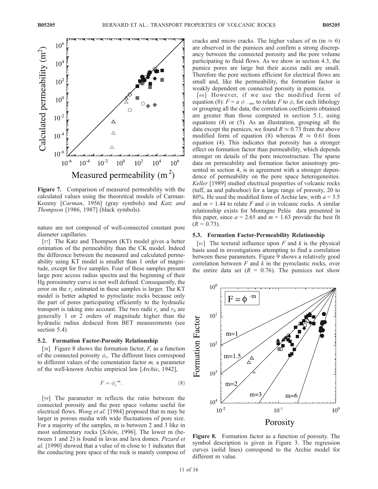

Figure 7. Comparison of measured permeability with the calculated values using the theoretical models of Carman-Kozeny [Carman, 1956] (gray symbols) and Katz and Thompson [1986, 1987] (black symbols).

nature are not composed of well-connected constant pore diameter capillaries.

[57] The Katz and Thompson (KT) model gives a better estimation of the permeability than the CK model. Indeed the difference between the measured and calculated permeability using KT model is smaller than 1 order of magnitude, except for five samples. Four of these samples present large pore access radius spectra and the beginning of their Hg porosimetry curve is not well defined. Consequently, the error on the  $r_c$  estimated in these samples is larger. The KT model is better adapted to pyroclastic rocks because only the part of pores participating efficiently to the hydraulic transport is taking into account. The two radii  $r_c$  and  $r_h$  are generally 1 or 2 orders of magnitude higher than the hydraulic radius deduced from BET measurements (see section 5.4).

#### 5.2. Formation Factor-Porosity Relationship

[58] Figure 8 shows the formation factor,  $F$ , as a function of the connected porosity  $\phi_c$ . The different lines correspond to different values of the cementation factor  $m$ , a parameter of the well-known Archie empirical law [Archie, 1942],

$$
F = \phi_c^{-m}.\tag{8}
$$

[59] The parameter m reflects the ratio between the connected porosity and the pore space volume useful for electrical flows. Wong et al. [1984] proposed that m may be larger in porous media with wide fluctuations of pore size. For a majority of the samples, m is between 2 and 3 like in most sedimentary rocks [Schön, 1996]. The lower m (between 1 and 2) is found in lavas and lava domes. Pezard et al. [1990] showed that a value of m close to 1 indicates that the conducting pore space of the rock is mainly compose of

cracks and micro cracks. The higher values of m (m  $\approx$  6) are observed in the pumices and confirm a strong discrepancy between the connected porosity and the pore volume participating to fluid flows. As we show in section 4.3, the pumice pores are large but their access radii are small. Therefore the pore sections efficient for electrical flows are small and, like the permeability, the formation factor is weakly dependent on connected porosity in pumices.

[60] However, if we use the modified form of equation (8):  $F = a \phi_{-m}$ , to relate F to  $\phi$ , for each lithology or grouping all the data, the correlation coefficients obtained are greater than those computed in section 5.1, using equations (4) or (5). As an illustration, grouping all the data except the pumices, we found  $R \approx 0.73$  from the above modified form of equation (8) whereas  $R \approx 0.61$  from equation (4). This indicates that porosity has a stronger effect on formation factor than permeability, which depends stronger on details of the pore microstructure. The sparse data on permeability and formation factor anisotropy presented in section 4, is in agreement with a stronger dependence of permeability on the pore space heterogeneities. Keller [1989] studied electrical properties of volcanic rocks (tuff, aa and pahoehoe) for a large range of porosity, 20 to 80%. He used the modified form of Archie law, with  $a = 3.5$ and  $m = 1.44$  to relate F and  $\phi$  in volcanic rocks. A similar relationship exists for Montagne Pelée data presented in this paper, since  $a = 2.65$  and  $m = 1.63$  provide the best fit  $(R = 0.73)$ .

#### 5.3. Formation Factor-Permeability Relationship

[61] The textural influence upon  $F$  and  $k$  is the physical basis used in investigations attempting to find a correlation between these parameters. Figure 9 shows a relatively good correlation between  $F$  and  $k$  in the pyroclastic rocks, over the entire data set ( $R = 0.76$ ). The pumices not show



Figure 8. Formation factor as a function of porosity. The symbol description is given in Figure 3. The regression curves (solid lines) correspond to the Archie model for different m value.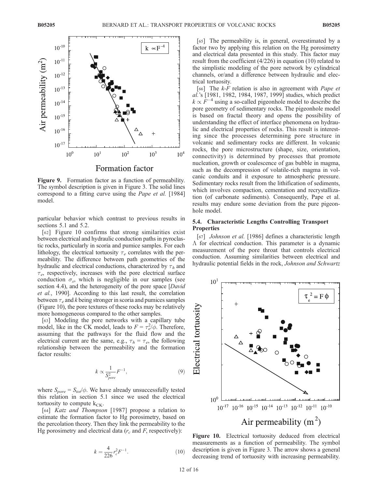

Figure 9. Formation factor as a function of permeability. The symbol description is given in Figure 3. The solid lines correspond to a fitting curve using the Pape et al. [1984] model.

particular behavior which contrast to previous results in sections 5.1 and 5.2.

[62] Figure 10 confirms that strong similarities exist between electrical and hydraulic conduction paths in pyroclastic rocks, particularly in scoria and pumice samples. For each lithology, the electrical tortuosity  $\tau_e$  correlates with the permeability. The difference between path geometries of the hydraulic and electrical conductions, characterized by  $\tau_h$  and  $\tau_e$ , respectively, increases with the pore electrical surface conduction  $\sigma_s$ , which is negligible in our samples (see section 4.4), and the heterogeneity of the pore space [*David* et al., 1990]. According to this last result, the correlation between  $\tau_e$  and k being stronger in scoria and pumices samples (Figure 10), the pore textures of these rocks may be relatively more homogeneous compared to the other samples.

[63] Modeling the pore networks with a capillary tube model, like in the CK model, leads to  $F = \tau_e^2/\phi$ . Therefore, assuming that the pathways for the fluid flow and the electrical current are the same, e.g.,  $\tau_h = \tau_e$ , the following relationship between the permeability and the formation factor results:

$$
k \propto \frac{1}{S_{pore}^2} F^{-1},\tag{9}
$$

where  $S_{pore} = S_{tot}/\phi$ . We have already unsuccessfully tested this relation in section 5.1 since we used the electrical tortuosity to compute  $k_{CK}$ .

[64] *Katz and Thompson* [1987] propose a relation to estimate the formation factor to Hg porosimetry, based on the percolation theory. Then they link the permeability to the Hg porosimetry and electrical data  $(r_c$  and  $F$ , respectively):

$$
k = \frac{4}{226} r_c^2 F^{-1}.
$$
 (10)

[65] The permeability is, in general, overestimated by a factor two by applying this relation on the Hg porosimetry and electrical data presented in this study. This factor may result from the coefficient (4/226) in equation (10) related to the simplistic modeling of the pore network by cylindrical channels, or/and a difference between hydraulic and electrical tortuosity.

[66] The  $k$ -F relation is also in agreement with *Pape et* al.'s [1981, 1982, 1984, 1987, 1999] studies, which predict  $k \propto F^{-4}$  using a so-called pigeonhole model to describe the pore geometry of sedimentary rocks. The pigeonhole model is based on fractal theory and opens the possibility of understanding the effect of interface phenomena on hydraulic and electrical properties of rocks. This result is interesting since the processes determining pore structure in volcanic and sedimentary rocks are different. In volcanic rocks, the pore microstructure (shape, size, orientation, connectivity) is determined by processes that promote nucleation, growth or coalescence of gas bubble in magma, such as the decompression of volatile-rich magma in volcanic conduits and it exposure to atmospheric pressure. Sedimentary rocks result from the lithification of sediments, which involves compaction, cementation and recrystallization (of carbonate sediments). Consequently, Pape et al. results may endure some deviation from the pure pigeonhole model.

# 5.4. Characteristic Lengths Controlling Transport **Properties**

[67] *Johnson et al.* [1986] defines a characteristic length  $\Lambda$  for electrical conduction. This parameter is a dynamic measurement of the pore throat that controls electrical conduction. Assuming similarities between electrical and hydraulic potential fields in the rock, Johnson and Schwartz



Figure 10. Electrical tortuosity deduced from electrical measurements as a function of permeability. The symbol description is given in Figure 3. The arrow shows a general decreasing trend of tortuosity with increasing permeability.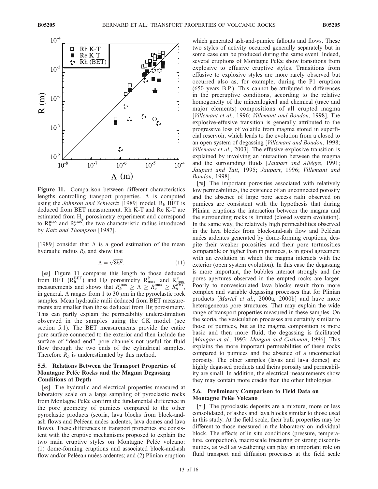

Figure 11. Comparison between different characteristics lengths controlling transport properties.  $\Lambda$  is computed using the *Johnson and Schwartz* [1989] model.  $R_h$  BET is deduced from BET measurement. Rh K-T and Re K-T are estimated from  $H_g$  porosimetry experiment and correspond to  $R_h^{\text{max}}$  and  $R_e^{\text{max}}$ , the two characteristic radius introduced by Katz and Thompson [1987].

[1989] consider that  $\Lambda$  is a good estimation of the mean hydraulic radius  $R_h$  and show that

$$
\Lambda = \sqrt{8kF}.\tag{11}
$$

[68] Figure 11 compares this length to those deduced from BET ( $R_h^{\text{BET}}$ ) and Hg porosimetry  $R_{\text{max}}^h$  and  $R_{\text{max}}^e$ measurements and shows that  $R_h^{\max} \geq \Lambda \geq R_e^{\max} \geq R_h^{\overline{BET}}$ , in general.  $\Lambda$  ranges from 1 to 30  $\mu$ m in the pyroclastic rock samples. Mean hydraulic radii deduced from BET measurements are smaller than those deduced from Hg porosimetry. This can partly explain the permeability underestimation observed in the samples using the CK model (see section 5.1). The BET measurements provide the entire pore surface connected to the exterior and then include the surface of ''dead end'' pore channels not useful for fluid flow through the two ends of the cylindrical samples. Therefore  $R_h$  is underestimated by this method.

# 5.5. Relations Between the Transport Properties of Montagne Pelée Rocks and the Magma Degassing Conditions at Depth

[69] The hydraulic and electrical properties measured at laboratory scale on a large sampling of pyroclastic rocks from Montagne Pelée confirm the fundamental difference in the pore geometry of pumices compared to the other pyroclastic products (scoria, lava blocks from block-andash flows and Peléean nuées ardentes, lava domes and lava flows). These differences in transport properties are consistent with the eruptive mechanisms proposed to explain the two main eruptive styles on Montagne Pelée volcano: (1) dome-forming eruptions and associated block-and-ash flow and/or Peléean nuées ardentes; and (2) Plinian eruption

which generated ash-and-pumice fallouts and flows. These two styles of activity occurred generally separately but in some case can be produced during the same event. Indeed, several eruptions of Montagne Pelée show transitions from explosive to effusive eruptive styles. Transitions from effusive to explosive styles are more rarely observed but occurred also as, for example, during the P1 eruption (650 years B.P.). This cannot be attributed to differences in the preeruptive conditions, according to the relative homogeneity of the mineralogical and chemical (trace and major elements) compositions of all erupted magma [Villemant et al., 1996; Villemant and Boudon, 1998]. The explosive-effusive transition is generally attributed to the progressive loss of volatile from magma stored in superficial reservoir, which leads to the evolution from a closed to an open system of degassing [Villemant and Boudon, 1998; Villemant et al., 2003]. The effusive-explosive transition is explained by involving an interaction between the magma and the surrounding fluids [Jaupart and Allègre, 1991; Jaupart and Tait, 1995; Jaupart, 1996; Villemant and Boudon, 1998].

[70] The important porosities associated with relatively low permeabilities, the existence of an unconnected porosity and the absence of large pore access radii observed on pumices are consistent with the hypothesis that during Plinian eruptions the interaction between the magma and the surrounding rocks is limited (closed system evolution). In the same way, the relatively high permeabilities observed in the lava blocks from block-and-ash flow and Peléean nuées ardentes generated by dome-forming eruptions, despite their weaker porosities and their pore tortuosities comparable or higher than in pumices, is in good agreement with an evolution in which the magma interacts with the exterior (open system evolution). In this case the degassing is more important, the bubbles interact strongly and the pores apertures observed in the erupted rocks are larger. Poorly to nonvesiculated lava blocks result from more complex and variable degassing processes that for Plinian products [Martel et al., 2000a, 2000b] and have more heterogeneous pore structures. That may explain the wide range of transport properties measured in these samples. On the scoria, the vesiculation processes are certainly similar to those of pumices, but as the magma composition is more basic and then more fluid, the degassing is facilitated [Mangan et al., 1993; Mangan and Cashman, 1996]. This explains the more important permeabilities of these rocks compared to pumices and the absence of a unconnected porosity. The other samples (lavas and lava domes) are highly degassed products and theirs porosity and permeability are small. In addition, the electrical measurements show they may contain more cracks than the other lithologies.

## 5.6. Preliminary Comparison to Field Data on Montagne Pelée Volcano

[71] The pyroclastic deposits are a mixture, more or less consolidated, of ashes and lava blocks similar to those used in this study. At the field scale, their bulk properties may be different to those measured in the laboratory on individual block. The effects of in situ conditions (pressure, temperature, compaction), macroscale fracturing or strong discontinuities, as well as weathering can play an important role on fluid transport and diffusion processes at the field scale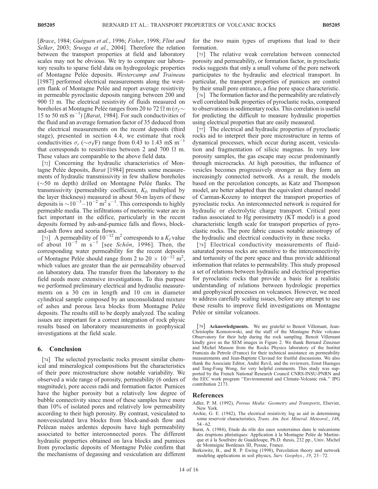[Brace, 1984; Guéguen et al., 1996; Fisher, 1998; Flint and Selker, 2003; Sruoga et al., 2004]. Therefore the relation between the transport properties at field and laboratory scales may not be obvious. We try to compare our laboratory results to sparse field data on hydrogeologic properties of Montagne Pelée deposits. Westercamp and Traineau [1987] performed electrical measurements along the western flank of Montagne Pelée and report average resistivity in permeable pyroclastic deposits ranging between 200 and 900  $\Omega$  m. The electrical resistivity of fluids measured on boreholes at Montagne Pelée ranges from 20 to 72  $\Omega$  m ( $\sigma_f \sim$ 15 to 50 mS m<sup>-1</sup>) [*Barat*, 1984]. For such conductivities of the fluid and an average formation factor of 35 deduced from the electrical measurements on the recent deposits (third stage), presented in section 4.4, we estimate that rock conductivities  $\sigma_r$  ( $\sim \sigma_f$ F) range from 0.43 to 1.43 mS m<sup>-</sup> that corresponds to resistivities between 2 and 700  $\Omega$  m. These values are comparable to the above field data.

[72] Concerning the hydraulic characteristics of Montagne Pelée deposits, Barat [1984] presents some measurements of hydraulic transmissivity in few shallow boreholes  $(\sim 50$  m depth) drilled on Montagne Pelée flanks. The transmissivity (permeability coefficient,  $K_f$ , multiplied by the layer thickness) measured in about 50-m layers of these deposits is  $\sim 10^{-3} - 10^{-2}$  m<sup>2</sup> s<sup>-1</sup>. This corresponds to highly permeable media. The infiltrations of meteoritic water are in fact important in the edifice, particularly in the recent deposits formed by ash-and-pumice falls and flows, blockand-ash flows and scoria flows.

[73] A permeability of  $10^{-12}$  m<sup>2</sup> corresponds to a  $K_f$  value of about  $10^{-5}$  m s<sup>-1</sup> [see *Schön*, 1996]. Then, the corresponding water permeability for the recent deposits of Montagne Pelée should range from 2 to 20  $\times$  10<sup>-12</sup> m<sup>2</sup>, which values are greater than the air permeability observed on laboratory data. The transfer from the laboratory to the field needs more extensive investigations. To this purpose we performed preliminary electrical and hydraulic measurements on a 30 cm in length and 10 cm in diameter cylindrical sample composed by an unconsolidated mixture of ashes and porous lava blocks from Montagne Pelée deposits. The results still to be deeply analyzed. The scaling issues are important for a correct integration of rock physic results based on laboratory measurements in geophysical investigations at the field scale.

# 6. Conclusion

[74] The selected pyroclastic rocks present similar chemical and mineralogical compositions but the characteristics of their pore microstructure show notable variability. We observed a wide range of porosity, permeability (6 orders of magnitude), pore access radii and formation factor. Pumices have the higher porosity but a relatively low degree of bubble connectivity since most of these samples have more than 10% of isolated pores and relatively low permeability according to their high porosity. By contrast, vesiculated to nonvesiculated lava blocks from block-and-ash flow and Peléean nuées ardentes deposits have high permeability associated to better interconnected pores. The different hydraulic properties obtained on lava blocks and pumices from pyroclastic deposits of Montagne Pelée confirm that the mechanisms of degassing and vesiculation are different

for the two main types of eruptions that lead to their formation.

[75] The relative weak correlation between connected porosity and permeability, or formation factor, in pyroclastic rocks suggests that only a small volume of the pore network participates to the hydraulic and electrical transport. In particular, the transport properties of pumices are control by their small pore entrance, a fine pore space characteristic.

[76] The formation factor and the permeability are relatively well correlated bulk properties of pyroclastic rocks, compared to observations in sedimentary rocks. This correlation is useful for predicting the difficult to measure hydraulic properties using electrical properties that are easily measured.

[77] The electrical and hydraulic properties of pyroclastic rocks aid to interpret their pore microstructure in terms of dynamical processes, which occur during ascent, vesiculation and fragmentation of silicic magmas. In very low porosity samples, the gas escape may occur predominantly through microcracks. At high porosities, the influence of vesicles becomes progressively stronger as they form an increasingly connected network. As a result, the models based on the percolation concepts, as Katz and Thompson model, are better adapted than the equivalent channel model of Carman-Kozeny to interpret the transport properties of pyroclastic rocks. An interconnected network is required for hydraulic or electrolytic charge transport. Critical pore radius associated to Hg porosimetry (KT model) is a good characteristic length scale for transport properties of pyroclastic rocks. The pore fabric causes notable anisotropy of the hydraulic and electrical conductivity in these rocks.

[78] Electrical conductivity measurements of fluidsaturated porous rocks are sensitive to the interconnectivity and tortuosity of the pore space and thus provide additional information that relates to permeability. This study proposed a set of relations between hydraulic and electrical properties for pyroclastic rocks that provide a basis for a realistic understanding of relations between hydrologic properties and geophysical processes on volcanoes. However, we need to address carefully scaling issues, before any attempt to use these results to improve field investigations on Montagne Pelée or similar volcanoes.

[79] Acknowledgments. We are grateful to Benoit Villemant, Jean-Christophe Komorowski, and the staff of the Montagne Pelée volcano Observatory for their help during the rock sampling. Benoit Villemant kindly gave us the SEM images in Figure 2. We thank Bernard Zinszner and Michel Masson from the Rocks Physics laboratory of the Institut Francais du Petrole (France) for their technical assistance on permeability measurements and Jean-Baptiste Clavaud for fruitful discussions. We also thank the Associate Editor, André Revil, and the reviewers, Ernst Huenges and Teng-Fong Wong, for very helpful comments. This study was supported by the French National Research Council CNRS-INSU-PNRN and the EEC work program ''Environmental and Climate-Volcanic risk.'' IPG contribution 2173.

#### References

- Adler, P. M. (1992), Porous Media: Geometry and Transports, Elsevier, New York.
- Archie, G. E. (1942), The electrical resistivity log as aid in determining some reservoir characteristics, Trans. Am. Inst. Mineral. Meteorol., 146,  $54 - 62.$
- Barat, A. (1984), Etude du rôle des eaux souterraines dans le mécanisme des éruptions phréatiques: Application à la Montagne Pelée de Martinique et à la Soufrière de Guadeloupe, Ph.D. thesis, 232 pp., Univ. Michel de Montaigne Bordeaux III, Pessac, France.
- Berkowitz, B., and R. P. Ewing (1998), Percolation theory and network modeling applications in soil physics, Surv. Geophys., 19, 23–72.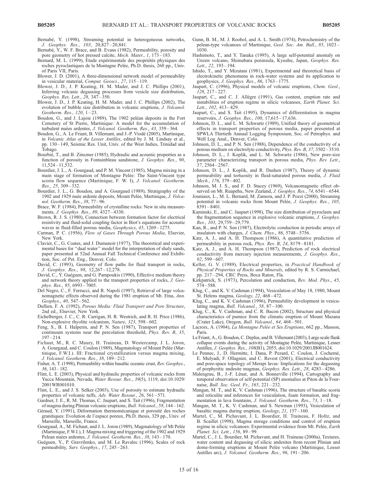Bernabé, Y. (1998), Streaming potential in heterogeneous networks, J. Geophys. Res., 103, 20,827 – 20,841.

Bernabé, Y., W. F. Brace, and B. Evans (1982), Permeability, porosity and pore geometry of hot pressed calcite, Mech. Mater., 1, 173–183.

- Bernard, M. L. (1999), Etude expérimentale des propriétés physiques des roches pyroclastiques de la Montagne Pelée, Ph.D. thesis, 260 pp., Univ. of Paris VII, Paris.
- Blower, J. D. (2001), A three-dimensional network model of permeability in vesicular material, Comput. Geosci., 27, 115-119.
- Blower, J. D., J. P. Keating, H. M. Mader, and J. C. Phillips (2001), Inferring volcanic degassing processes from vesicle size distribution, Geophys. Res. Lett., 28, 347 – 350.
- Blower, J. D., J. P. Keating, H. M. Mader, and J. C. Phillips (2002), The evolution of bubble size distribution in volcanic eruptions, J. Volcanol. Geotherm. Res., 120, 1-23.
- Boudon, G., and J. Lajoie (1989), The 1902 peléan deposits in the Fort Cemetery of St Pierre, Martinique: A model for the accumulation of turbulent nuées ardentes, J. Volcanol. Geotherm. Res., 43, 359-364.
- Boudon, G., A. Le Friant, B. Villemant, and J.-P. Viodé (2005), Martinique, in Volcanic Atlas of the Lesser Antilles, edited by J. M. Lindsay et al., pp. 130 – 149, Seismic Res. Unit, Univ. of the West Indies, Trinidad and Tobago.
- Bourbié, T., and B. Zinszner (1985), Hydraulic and acoustic properties as a function of porosity in Fontainbleau sandstone, J. Geophys. Res., 90, 11,524 – 11,532.
- Bourdier, J. L., A. Gourgaud, and P. M. Vincent (1985), Magma mixing in a main stage of formation of Montagne Pelée: The Saint-Vincent type scoria flow sequence (Martinique, F. W. I), J. Volcanol. Geotherm. Res., 25, 309 $-$ 332.
- Bourdier, J. L., G. Boudon, and A. Gourgaud (1989), Stratigraphy of the 1902 and 1929 nuée ardente deposits, Mount Pelée, Martinique, J. Volcanol. Geotherm. Res., 38, 77 – 96.
- Brace, W. F. (1984), Permeability of crystalline rocks: New in situ measurements, J. Geophys. Res., 89, 4327 – 4330.
- Brown, R. J. S. (1980), Connection between formation factor for electrical resistivity and fluid-solid coupling factor in Biot's equations for acoustic waves in fluid-filled porous media, Geophysics, 45, 1269-1275
- Carman, P. C. (1956), Flow of Gases Through Porous Media, Elsevier, New York.
- Clavier, C., G. Coates, and J. Dumanoir (1977), The theoretical and experimental bases for ''dual water'' model for the interpretation of shaly sands, paper presented at 52nd Annual Fall Technical Conference and Exhibition, Soc. of Pet. Eng., Denver, Colo.
- David, C. (1993), Geometry of flow paths for fluid transport in rocks, J. Geophys. Res., 98, 12,267 – 12,278.
- David, C., Y. Guéguen, and G. Pampoukis (1990), Effective medium theory and network theory applied to the transport properties of rocks, J. Geophys. Res., 95, 6993 $-7005$ .
- Del Negro, C., F. Ferrucci, and R. Napoli (1997), Retrieval of large volcanomagnetic effects observed during the 1981 eruption of Mt. Etna, Ann. Geophys., 40, 547 – 562.
- Dullien, F. A. (1992), Porous Media: Fluid Transport and Pore Structure, 2nd ed., Elsevier, New York.
- Eichelberger, J. C., C. R. Carrigan, H. R. Westrich, and R. H. Price (1986), Non-explosive rhyolite volcanism, Nature, 323, 598-602.
- Feng, S., B. I. Halperin, and P. N. Sen (1987), Transport properties of continuum systems near the percolation threshold, Phys. Rev. B, 35,  $197 - 214.$
- Fichaut, M., R. C. Maury, H. Traineau, D. Westercamp, J. L. Joron, A. Gourgaud, and C. Coulon (1989), Magmatology of Mount Pelée (Martinique, F.W.I.). III: Fractional crystallization versus magma mixing, J. Volcanol. Geotherm. Res., 38, 189 – 212.
- Fisher, A. T. (1998), Permeability within basaltic oceanic crust, Rev. Geophys.,  $36, 143 - 182$
- Flint, L. E. (2003), Physical and hydraulic properties of volcanic rocks from Yucca Mountain, Nevada, Water Resour. Res., 39(5), 1119, doi:10.1029/ 2001WR001010.
- Flint, L. E., and J. S. Selker (2003), Use of porosity to estimate hydraulic properties of volcanic tuffs, Adv. Water Resour., 26, 561-571.
- Gardner, J. E., R. M. Thomas, C. Jaupart, and S. Tait (1996), Fragmentation of magma during Plinian volcanic eruptions, Bull. Volcanol., 58, 144 – 162.
- Géraud, Y. (1991), Déformation thermomécanique et porosité des roches granitiques: Evolution de l'espace poreux, Ph.D. thesis, 329 pp., Univ. of Marseille, Marseille, France.
- Gourgaud, A., M. Fichaut, and J. L. Joron (1989), Magmatology of Mt Pelée (Martinique, F.W.I.), I: Magma mixing and triggering of the 1902 and 1929 Pelean nuées ardentes, J. Volcanol. Geotherm. Res., 38, 143-170.
- Guéguen, Y., P. Gravrilenko, and M. Le Ravalec (1996), Scales of rock permeability, Surv. Geophys., 17, 245-263.
- Gunn, B. M., M. J. Roobol, and A. L. Smith (1974), Petrochemistry of the pelean-type volcanoes of Martinique, Geol. Soc. Am. Bull., 85, 1023 – 1030.
- Hashimoto, T., and Y. Tanaka (1995), A large self-potential anomaly on Unzen volcano, Shimabara peninsula, Kyushu, Japan, Geophys. Res. Lett., 22, 193-194.
- Ishido, T., and Y. Mizutani (1981), Experimental and theoretical basis of electrokinetic phenomena in rock-water systems and its application to geophysics, J. Geophys. Res., 86, 1763 – 1775.
- Jaupart, C. (1996), Physical models of volcanic eruptions, Chem. Geol., 128, 217 – 227.
- Jaupart, C., and C. J. Allègre (1991), Gas content, eruption rate and instabilities of eruption regime in silicic volcanoes, Earth Planet. Sci. Lett.,  $102$ ,  $413 - 429$ .
- Jaupart, C., and S. Tait (1995), Dynamics of differentiation in magma reservoirs, J. Geophys. Res., 100, 17,615 – 17,636.
- Johnson, D. L., and L. M. Schwartz (1989), Unified theory of geometrical effects in transport properties of porous media, paper presented at SPWLA Thirtieth Annual Logging Symposium, Soc. of Petrophys. and Well Log Anal., Denver, Colo.
- Johnson, D. L., and P. N. Sen (1988), Dependence of the conductivity of a porous medium on electrolyte conductivity, Phys. Rev. B, 37, 3502 – 3510.
- Johnson, D. L., J. Koplik, and L. M. Schwartz (1986), New pore-size parameter characterizing transport in porous media, Phys. Rev. Lett.,  $57, 2564 - 2567.$
- Johnson, D. L., J. Koplik, and R. Dashen (1987), Theory of dynamic permeability and tortuosity in fluid-saturated porous media, J. Fluid Mech., 176, 379 – 402.
- Johnson, M. J. S., and F. D. Stacey (1969), Volcanomagnetic effect observed on Mt. Ruapehu, New Zealand, J. Geophys. Res., 74, 6541-6544.
- Jouniaux, L., M. L. Bernard, M. Zamora, and J. P. Pozzi (2000), Streaming potential in volcanic rocks from Mount Pelée, J. Geophys. Res., 105,  $8391 - 8401$ .
- Kaminski, E., and C. Jaupart (1998), The size distribution of pyroclasts and the fragmentation sequence in explosive volcanic eruptions, J. Geophys. Res., 103, 29,759 – 29,779.
- Kan, R., and P. N. Sen (1987), Electrolytic conduction in periodic arrays of insulators with charges, J. Chem. Phys., 86, 5748 – 5756.
- Katz, A. J., and A. H. Thompson (1986), A quantitative prediction of permeability in porous rock, Phys. Rev. B, 24, 8179 – 8181.
- Katz, A. J., and A. H. Thompson (1987), Prediction of rock electrical conductivity from mercury injection measurements, J. Geophys. Res., 92, 599 – 607.
- Keller, G. V. (1989), Electrical properties, in Practical Handbook of Physical Properties of Rocks and Minerals, edited by R. S. Carmichael, pp. 217 – 294, CRC Press, Boca Raton, Fla.
- Kirkpatrick, S. (1973), Percolation and conduction, Rev. Mod. Phys., 45,  $574 - 588.$
- Klug, C., and K. V. Cashman (1994), Vesiculation of May 18, 1980, Mount St. Helens magma, Geology, 22, 468 – 472.
- Klug, C., and K. V. Cashman (1996), Permeability development in vesiculating magma, Bull. Volcanol., 58, 87-100.
- Klug, C., K. V. Cashman, and C. R. Bacon (2002), Structure and physical characteristics of pumice from the climatic eruption of Mount Mazana (Crater Lake), Oregon, Bull. Volcanol., 64, 468-501.
- Lacroix, A. (1904), La Montagne Pelée et Ses Eruptions, 662 pp., Masson, Paris.
- Le Friant, A., G. Boudon, C. Deplus, and B. Villemant (2003), Large scale flank collapse events during the activity of Montagne Pelée, Martinique, Lesser Antilles, J. Geophys. Res., 108(B1), 2055, doi:10.1029/2001JB001624.
- Le Pennec, J., D. Hermitte, I. Dana, P. Pezard, C. Coulon, J. Cochemé, E. Mulyadi, F. Ollagnier, and C. Revest (2001), Electrical conductivity and pore-space topology of Merapi lavas: Implications for the degassing of porphyritic andesite magmas, Geophys. Res. Lett., 28, 4283 – 4286.
- Malengrau, B., J.-F. Lénat, and A. Bonneville (1994), Cartography and temporal observation of self-potential (SP) anomalies at Piton de la Fournaise, *Bull. Soc. Geol. Fr.*, 165, 221-232.
- Mangan, M. T., and K. V. Cashman (1996), The structure of basaltic scoria and reticulite and inferences for vesiculation, foam formation, and fragmentation in lava fountains, *J. Volcanol. Geotherm. Res.*, 73, 1-18.
- Mangan, M. T., K. V. Cashman, and S. Newman (1993), Vesiculation of basaltic magma during eruption, Geology, 21, 157-160.
- Martel, C., M. Pichavant, J. L. Bourdier, H. Traineau, F. Holtz, and B. Scaillet (1998), Magma storage conditions and control of eruption regime in silicic volcanoes: Experimental evidence from Mt. Pelée, Earth Planet. Sci. Lett., 156, 89-99.
- Martel, C., J. L. Bourdier, M. Pichavant, and H. Traineau (2000a), Textures, water content and degassing of silicic andesites from recent Plinian and dome-forming eruptions at Mount Pelée volcano (Martinique, Lesser Antilles arc), J. Volcanol. Geotherm. Res., 96, 191-206.